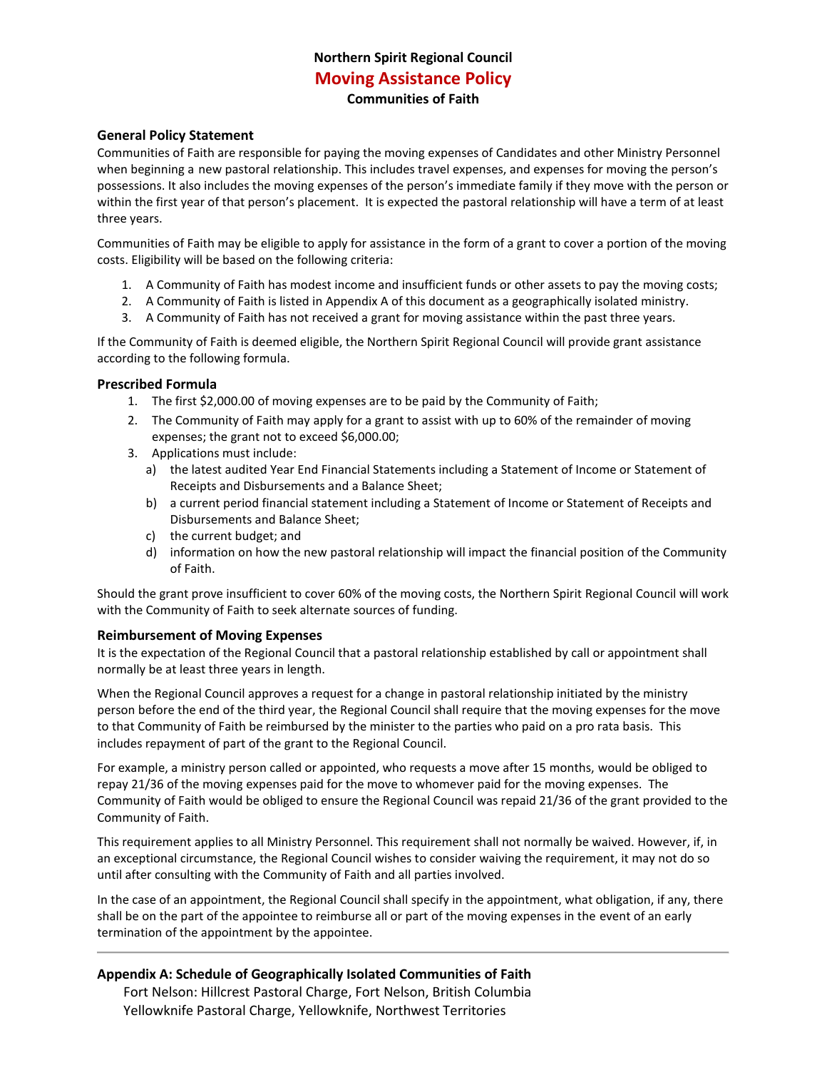# **Northern Spirit Regional Council Moving Assistance Policy Communities of Faith**

#### **General Policy Statement**

Communities of Faith are responsible for paying the moving expenses of Candidates and other Ministry Personnel when beginning a new pastoral relationship. This includes travel expenses, and expenses for moving the person's possessions. It also includes the moving expenses of the person's immediate family if they move with the person or within the first year of that person's placement. It is expected the pastoral relationship will have a term of at least three years.

Communities of Faith may be eligible to apply for assistance in the form of a grant to cover a portion of the moving costs. Eligibility will be based on the following criteria:

- 1. A Community of Faith has modest income and insufficient funds or other assets to pay the moving costs;
- 2. A Community of Faith is listed in Appendix A of this document as a geographically isolated ministry.
- 3. A Community of Faith has not received a grant for moving assistance within the past three years.

If the Community of Faith is deemed eligible, the Northern Spirit Regional Council will provide grant assistance according to the following formula.

#### **Prescribed Formula**

- 1. The first \$2,000.00 of moving expenses are to be paid by the Community of Faith;
- 2. The Community of Faith may apply for a grant to assist with up to 60% of the remainder of moving expenses; the grant not to exceed \$6,000.00;
- 3. Applications must include:
	- a) the latest audited Year End Financial Statements including a Statement of Income or Statement of Receipts and Disbursements and a Balance Sheet;
	- b) a current period financial statement including a Statement of Income or Statement of Receipts and Disbursements and Balance Sheet;
	- c) the current budget; and
	- d) information on how the new pastoral relationship will impact the financial position of the Community of Faith.

Should the grant prove insufficient to cover 60% of the moving costs, the Northern Spirit Regional Council will work with the Community of Faith to seek alternate sources of funding.

### **Reimbursement of Moving Expenses**

It is the expectation of the Regional Council that a pastoral relationship established by call or appointment shall normally be at least three years in length.

When the Regional Council approves a request for a change in pastoral relationship initiated by the ministry person before the end of the third year, the Regional Council shall require that the moving expenses for the move to that Community of Faith be reimbursed by the minister to the parties who paid on a pro rata basis. This includes repayment of part of the grant to the Regional Council.

For example, a ministry person called or appointed, who requests a move after 15 months, would be obliged to repay 21/36 of the moving expenses paid for the move to whomever paid for the moving expenses. The Community of Faith would be obliged to ensure the Regional Council was repaid 21/36 of the grant provided to the Community of Faith.

This requirement applies to all Ministry Personnel. This requirement shall not normally be waived. However, if, in an exceptional circumstance, the Regional Council wishes to consider waiving the requirement, it may not do so until after consulting with the Community of Faith and all parties involved.

In the case of an appointment, the Regional Council shall specify in the appointment, what obligation, if any, there shall be on the part of the appointee to reimburse all or part of the moving expenses in the event of an early termination of the appointment by the appointee.

### **Appendix A: Schedule of Geographically Isolated Communities of Faith**

Fort Nelson: Hillcrest Pastoral Charge, Fort Nelson, British Columbia Yellowknife Pastoral Charge, Yellowknife, Northwest Territories